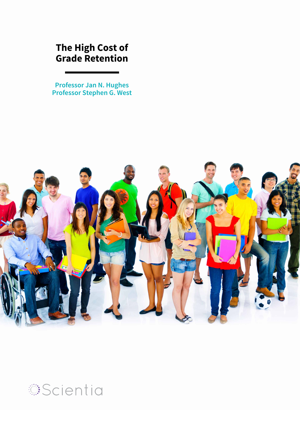### **The High Cost of Grade Retention**

**Professor Jan N. Hughes Professor Stephen G. West**



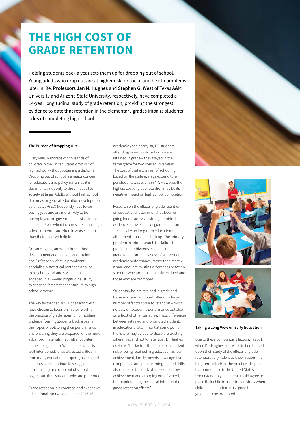## **THE HIGH COST OF GRADE RETENTION**

Holding students back a year sets them up for dropping out of school. Young adults who drop out are at higher risk for social and health problems later in life. **Professors Jan N. Hughes** and **Stephen G. West** of Texas A&M University and Arizona State University, respectively, have completed a 14-year longitudinal study of grade retention, providing the strongest evidence to date that retention in the elementary grades impairs students' odds of completing high school.

#### **The Burden of Dropping Out**

Every year, hundreds of thousands of children in the United States drop out of high school without obtaining a diploma. Dropping out of school is a major concern for educators and policymakers as it is detrimental, not only to the child, but to society at large. Adults without high school diplomas or general education development certificates (GED) frequently have lower paying jobs and are more likely to be unemployed, on government assistance, or in prison. Even when incomes are equal, high school dropouts are often in worse health than their peers with diplomas.

Dr Jan Hughes, an expert in childhood development and educational attainment and Dr Stephen West, a prominent specialist in statistical methods applied to psychological and social data, have engaged in a 14-year longitudinal study to describe factors that contribute to high school dropout.

The key factor that Drs Hughes and West have chosen to focus on in their work is the practice of grade retention or holding underperforming students back a year in the hopes of bolstering their performance and ensuring they are prepared for the more advanced materials they will encounter in the next grade up. While the practice is well intentioned, it has attracted criticism from many educational experts, as retained students often continue to struggle academically and drop out of school at a higher rate than students who are promoted.

Grade retention is a common and expensive educational intervention. In the 2015-16

academic year, nearly 38,000 students attending Texas public schools were retained in grade – they stayed in the same grade for two consecutive years. The cost of that extra year of schooling, based on the state average expenditure per student, was over \$384M. However, the highest cost of grade retention may be its negative impact on high school completion.

Research on the effects of grade retention on educational attainment has been ongoing for decades; yet strong empirical evidence of the effects of grade retention – especially on long-term educational attainment – has been lacking. The primary problem in prior research is a failure to provide unambiguous evidence that grade retention is the *cause* of subsequent academic performance, rather than merely a marker of pre-existing differences between students who are subsequently retained and those who are promoted.

Students who are retained in grade and those who are promoted differ on a large number of factors *prior* to retention – most notably on academic performance but also on a host of other variables. Thus, differences between retained and promoted students in educational attainment at some point in the future may be due to these pre-existing differences and not to retention. Dr Hughes explains, 'the factors that increase a student's risk of being retained in grade, such as low achievement, family poverty, low cognitive competence and poor learning-related skills, also increase their risk of subsequent low achievement and dropping out of school, thus confounding the causal interpretation of grade retention effects.'







#### **Taking a Long View on Early Education**

Due to these confounding factors, in 2001, when Drs Hughes and West first embarked upon their study of the effects of grade retention, very little was known about the long-term effects of the practice, despite its common use in the United States. Understandably no parent would agree to place their child in a controlled study where children are randomly assigned to repeat a grade or to be promoted.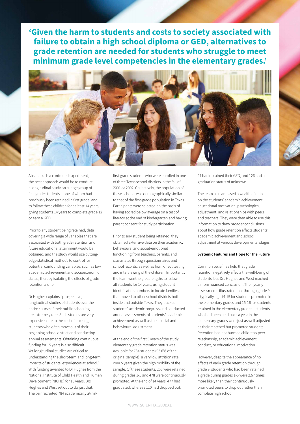**'Given the harm to students and costs to society associated with failure to obtain a high school diploma or GED, alternatives to grade retention are needed for students who struggle to meet minimum grade level competencies in the elementary grades.'**



Absent such a controlled experiment, the best approach would be to conduct a longitudinal study on a large group of first grade students, none of whom had previously been retained in first grade, and to follow these children for at least 14 years, giving students 14 years to complete grade 12 or earn a GED.

Prior to any student being retained, data covering a wide range of variables that are associated with both grade retention and future educational attainment would be obtained, and the study would use cuttingedge statistical methods to control for potential confounding variables, such as low academic achievement and socioeconomic status, thereby isolating the effects of grade retention alone.

Dr Hughes explains, 'prospective, longitudinal studies of students over the entire course of their public schooling are extremely rare. Such studies are very expensive, due to the cost of tracking students who often move out of their beginning school district and conducting annual assessments. Obtaining continuous funding for 15 years is also difficult. Yet longitudinal studies are critical to understanding the short-term and long-term impacts of students' experiences at school.' With funding awarded to Dr Hughes from the National Institute of Child Health and Human Development (NICHD) for 15 years, Drs Hughes and West set out to do just that. The pair recruited 784 academically at-risk

first grade students who were enrolled in one of three Texas school districts in the fall of 2001 or 2002. Collectively, the population of these schools was demographically similar to that of the first-grade population in Texas. Participants were selected on the basis of having scored below average on a test of literacy at the end of kindergarten and having parent consent for study participation.

Prior to any student being retained, they obtained extensive data on their academic, behavioural and social-emotional functioning from teachers, parents, and classmates through questionnaires and school records, as well as from direct testing and interviewing of the children. Importantly the team went to great lengths to follow all students for 14 years, using student identification numbers to locate families that moved to other school districts both inside and outside Texas. They tracked students' academic progress and conducted annual assessments of students' academic achievement as well as their social and behavioural adjustment.

At the end of the first 5 years of the study, elementary grade retention status was available for 734 students (93.6% of the original sample), a very low attrition rate over 5 years given the high mobility of the sample. Of these students, 256 were retained during grades 1-5 and 478 were continuously promoted. At the end of 14 years, 477 had graduated, whereas 110 had dropped out,

21 had obtained their GED, and 126 had a graduation status of unknown.

The team also amassed a wealth of data on the students' academic achievement, educational motivation, psychological adjustment, and relationships with peers and teachers. They were then able to use this information to draw broader conclusions about how grade retention affects students' academic achievement and school adjustment at various developmental stages.

#### **Systemic Failures and Hope for the Future**

Common belief has held that grade retention negatively affects the well-being of students, but Drs Hughes and West reached a more nuanced conclusion. Their yearly assessments illustrated that through grade 9 – typically age 14-15 for students promoted in the elementary grades and 15-16 for students retained in the elementary grades – students who had been held back a year in the elementary grades were just as well adjusted as their matched but promoted students. Retention had not harmed children's peer relationship, academic achievement, conduct, or educational motivation.

However, despite the appearance of no effects of early grade retention through grade 9, students who had been retained a grade during grades 1-5 were 2.67 times more likely than their continuously promoted peers to drop out rather than complete high school.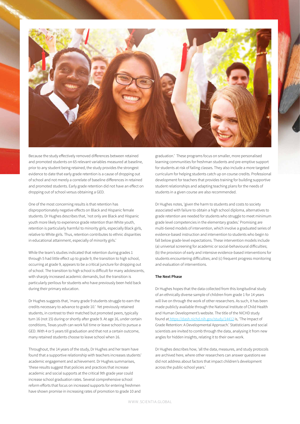

Because the study effectively removed differences between retained and promoted students on 65 relevant variables measured at baseline, prior to any student being retained, the study provides the strongest evidence to date that early grade retention is a cause of dropping out of school and not merely a correlate of baseline differences in retained and promoted students. Early grade retention did not have an effect on dropping out of school versus obtaining a GED.

One of the most concerning results is that retention has disproportionately negative effects on Black and Hispanic female students. Dr Hughes describes that, 'not only are Black and Hispanic youth more likely to experience grade retention than White youth, retention is particularly harmful to minority girls, especially Black girls, relative to White girls. Thus, retention contributes to ethnic disparities in educational attainment, especially of minority girls.'

While the team's studies indicated that retention during grades 1 through 5 had little effect up to grade 9, the transition to high school, occurring at grade 9, appears to be a critical juncture for dropping out of school. The transition to high school is difficult for many adolescents, with sharply increased academic demands, but the transition is particularly perilous for students who have previously been held back during their primary education.

Dr Hughes suggests that, 'many grade 9 students struggle to earn the credits necessary to advance to grade 10.' Yet previously retained students, in contrast to their matched but promoted peers, typically turn 16 (not 15) during or shortly after grade 9. At age 16, under certain conditions, Texas youth can work full time or leave school to pursue a GED. With 4 or 5 years till graduation and that not a certain outcome, many retained students choose to leave school when 16.

Throughout, the 14 years of the study, Dr Hughes and her team have found that a supportive relationship with teachers increases students' academic engagement and achievement. Dr Hughes summarises, 'these results suggest that policies and practices that increase academic and social supports at the critical 9th grade year could increase school graduation rates. Several comprehensive school reform efforts that focus on increased supports for entering freshmen have shown promise in increasing rates of promotion to grade 10 and

graduation.' These programs focus on smaller, more personalised learning communities for freshman students and pre-emptive support for students at risk of failing classes. They also include a more targeted curriculum for helping students catch up on course credits. Professional development for teachers that provides training for building supportive student relationships and adapting teaching plans for the needs of students in a given course are also recommended.

Dr Hughes notes, 'given the harm to students and costs to society associated with failure to obtain a high school diploma, alternatives to grade retention are needed for students who struggle to meet minimum grade level competencies in the elementary grades.' Promising are multi-tiered models of intervention, which involve a graduated series of evidence-based instruction and intervention to students who begin to fall below grade-level expectations. These intervention models include (a) universal screening for academic or social-behavioural difficulties; (b) the provision of early and intensive evidence-based interventions for students encountering difficulties; and (c) frequent progress monitoring and evaluation of interventions.

#### **The Next Phase**

Dr Hughes hopes that the data collected from this longitudinal study of an ethnically diverse sample of children from grade 1 for 14 years will live on through the work of other researchers. As such, it has been made publicly available through the National Institute of Child Health and Human Development's website. The title of the NICHD study found a[t https://dash.nichd.nih.gov/study/14412]( https://dash.nichd.nih.gov/study/14412) is, 'The Impact of Grade Retention: A Developmental Approach.' Statisticians and social scientists are invited to comb through the data, analysing it from new angles for hidden insights, relating it to their own work.

Dr Hughes describes how, 'all the data, measures, and study protocols are archived here, where other researchers can answer questions we did not address about factors that impact children's development across the public-school years.'